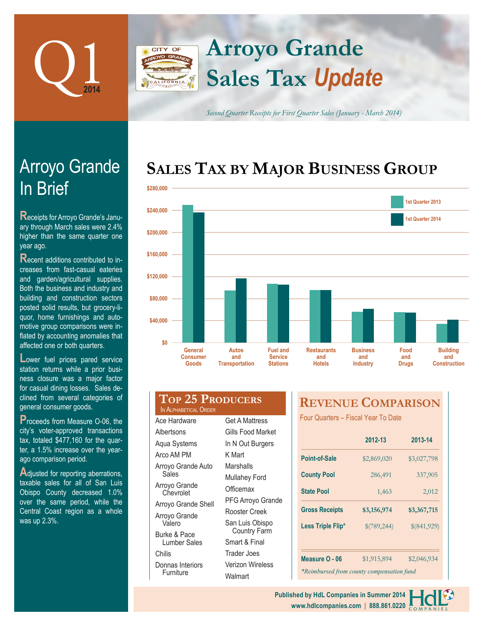

Arroyo Grande

**Receipts for Arroyo Grande's Janu**ary through March sales were 2.4% higher than the same quarter one

**R**ecent additions contributed to increases from fast-casual eateries and garden/agricultural supplies. Both the business and industry and building and construction sectors posted solid results, but grocery-liquor, home furnishings and automotive group comparisons were inflated by accounting anomalies that affected one or both quarters.

In Brief

year ago.

# **Arroyo Grande** CITY OF **Sales Tax** *Update*

*Second Quarter Receipts for First Quarter Sales (January - March 2014)*

# **SALES TAX BY MAJOR BUSINESS GROUP**



| Lower fuel prices pared service     |
|-------------------------------------|
| station returns while a prior busi- |
| ness closure was a major factor     |
| for casual dining losses. Sales de- |
| clined from several categories of   |
| general consumer goods.             |

**P**roceeds from Measure O-06, the city's voter-approved transactions tax, totaled \$477,160 for the quarter, a 1.5% increase over the yearago comparison period.

Adjusted for reporting aberrations, taxable sales for all of San Luis Obispo County decreased 1.0% over the same period, while the Central Coast region as a whole was up 2.3%.

## **Top 25 Producers** IN ALPHABETICAL ORDER

Ace Hardware Albertsons Aqua Systems Arco AM PM Arroyo Grande Auto **Sales** Arroyo Grande **Chevrolet** Arroyo Grande Shell Arroyo Grande Valero Burke & Pace Lumber Sales Chilis Donnas Interiors **Furniture** 

| Get A Mattress                         |
|----------------------------------------|
| Gills Food Market                      |
| In N Out Burgers                       |
| K Mart                                 |
| Marshalls                              |
| Mullahey Ford                          |
| Officemax                              |
| PFG Arroyo Grande                      |
| Rooster Creek                          |
| San Luis Obispo<br><b>Country Farm</b> |
| Smart & Final                          |
| Trader Joes                            |
| Verizon Wireless                       |
| Walmart                                |

# **REVENUE COMPARISON**

Four Quarters – Fiscal Year To Date

|                                           | 2012-13<br>2013-14         |             |  |  |  |  |
|-------------------------------------------|----------------------------|-------------|--|--|--|--|
| Point-of-Sale                             | \$2,869,020                | \$3,027,798 |  |  |  |  |
| <b>County Pool</b>                        | 286,491                    | 337,905     |  |  |  |  |
| <b>State Pool</b>                         | 1,463                      | 2,012       |  |  |  |  |
| <b>Gross Receipts</b>                     | \$3,156,974                | \$3,367,715 |  |  |  |  |
| Less Triple Flip*                         | \$(789,244)<br>\$(841,929) |             |  |  |  |  |
|                                           |                            |             |  |  |  |  |
| Measure O - 06                            | \$1,915,894                | \$2,046,934 |  |  |  |  |
| *Reimbursed from county compensation fund |                            |             |  |  |  |  |

**www.hdlcompanies.com | 888.861.0220 Published by HdL Companies in Summer 2014**